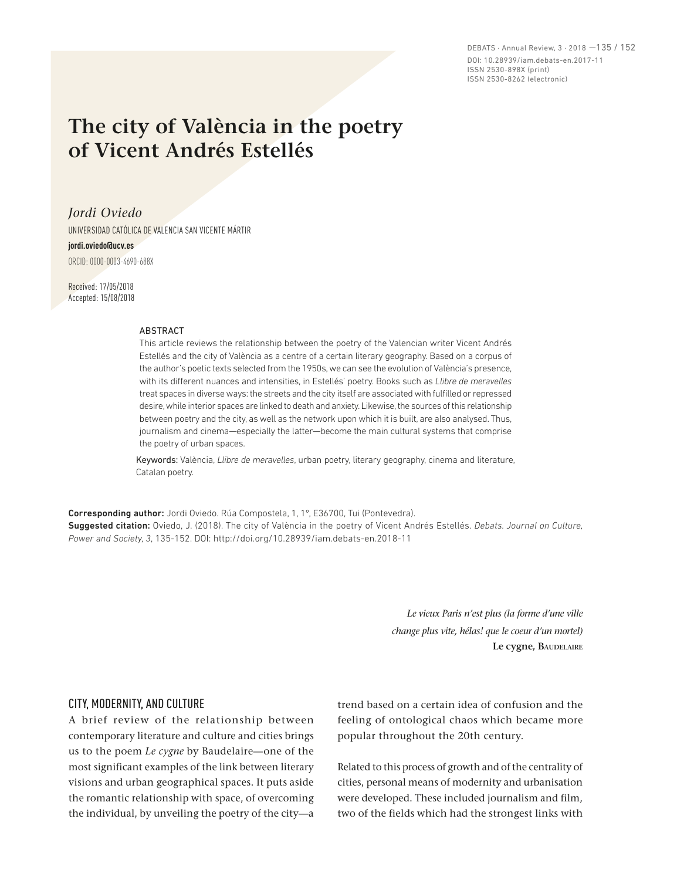DEBATS · Annual Review, 3 · 2018 —135 / 152 DOI: 10.28939/iam.debats-en.2017-11 ISSN 2530-898X (print) ISSN 2530-8262 (electronic)

# **The city of València in the poetry of Vicent Andrés Estellés**

*Jordi Oviedo* 

UNIVERSIDAD CATÓLICA DE VALENCIA SAN VICENTE MÁRTIR

#### **jordi.oviedo@ucv.es**

ORCID: 0000-0003-4690-688X

Received: 17/05/2018 Accepted: 15/08/2018

#### ABSTRACT

This article reviews the relationship between the poetry of the Valencian writer Vicent Andrés Estellés and the city of València as a centre of a certain literary geography. Based on a corpus of the author's poetic texts selected from the 1950s, we can see the evolution of València's presence, with its different nuances and intensities, in Estellés' poetry. Books such as *Llibre de meravelles* treat spaces in diverse ways: the streets and the city itself are associated with fulfilled or repressed desire, while interior spaces are linked to death and anxiety. Likewise, the sources of this relationship between poetry and the city, as well as the network upon which it is built, are also analysed. Thus, journalism and cinema—especially the latter—become the main cultural systems that comprise the poetry of urban spaces.

Keywords: València, *Llibre de meravelles*, urban poetry, literary geography, cinema and literature, Catalan poetry.

Corresponding author: Jordi Oviedo. Rúa Compostela, 1, 1º, E36700, Tui (Pontevedra). Suggested citation: Oviedo, J. (2018). The city of València in the poetry of Vicent Andrés Estellés. *Debats. Journal on Culture, Power and Society, 3*, 135-152. DOI: http://doi.org/10.28939/iam.debats-en.2018-11

> *Le vieux Paris n'est plus (la forme d'une ville change plus vite, hélas! que le coeur d'un mortel)* **Le cygne, Baudelaire**

# CITY, MODERNITY, AND CULTURE

A brief review of the relationship between contemporary literature and culture and cities brings us to the poem *Le cygne* by Baudelaire—one of the most significant examples of the link between literary visions and urban geographical spaces. It puts aside the romantic relationship with space, of overcoming the individual, by unveiling the poetry of the city—a trend based on a certain idea of confusion and the feeling of ontological chaos which became more popular throughout the 20th century.

Related to this process of growth and of the centrality of cities, personal means of modernity and urbanisation were developed. These included journalism and film, two of the fields which had the strongest links with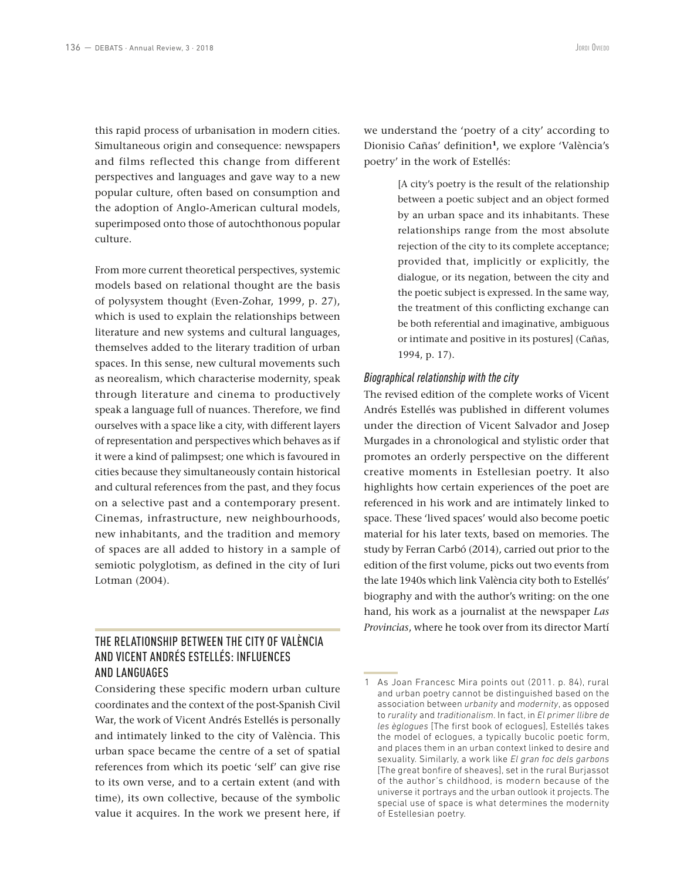this rapid process of urbanisation in modern cities. Simultaneous origin and consequence: newspapers and films reflected this change from different perspectives and languages and gave way to a new popular culture, often based on consumption and the adoption of Anglo-American cultural models, superimposed onto those of autochthonous popular culture.

From more current theoretical perspectives, systemic models based on relational thought are the basis of polysystem thought (Even-Zohar, 1999, p. 27), which is used to explain the relationships between literature and new systems and cultural languages, themselves added to the literary tradition of urban spaces. In this sense, new cultural movements such as neorealism, which characterise modernity, speak through literature and cinema to productively speak a language full of nuances. Therefore, we find ourselves with a space like a city, with different layers of representation and perspectives which behaves as if it were a kind of palimpsest; one which is favoured in cities because they simultaneously contain historical and cultural references from the past, and they focus on a selective past and a contemporary present. Cinemas, infrastructure, new neighbourhoods, new inhabitants, and the tradition and memory of spaces are all added to history in a sample of semiotic polyglotism, as defined in the city of Iuri Lotman (2004).

# THE RELATIONSHIP BETWEEN THE CITY OF VALÈNCIA AND VICENT ANDRÉS ESTELLÉS: INFLUENCES AND LANGUAGES

Considering these specific modern urban culture coordinates and the context of the post-Spanish Civil War, the work of Vicent Andrés Estellés is personally and intimately linked to the city of València. This urban space became the centre of a set of spatial references from which its poetic 'self' can give rise to its own verse, and to a certain extent (and with time), its own collective, because of the symbolic value it acquires. In the work we present here, if we understand the 'poetry of a city' according to Dionisio Cañas' definition**<sup>1</sup>**, we explore 'València's poetry' in the work of Estellés:

> [A city's poetry is the result of the relationship between a poetic subject and an object formed by an urban space and its inhabitants. These relationships range from the most absolute rejection of the city to its complete acceptance; provided that, implicitly or explicitly, the dialogue, or its negation, between the city and the poetic subject is expressed. In the same way, the treatment of this conflicting exchange can be both referential and imaginative, ambiguous or intimate and positive in its postures] (Cañas, 1994, p. 17).

# *Biographical relationship with the city*

The revised edition of the complete works of Vicent Andrés Estellés was published in different volumes under the direction of Vicent Salvador and Josep Murgades in a chronological and stylistic order that promotes an orderly perspective on the different creative moments in Estellesian poetry. It also highlights how certain experiences of the poet are referenced in his work and are intimately linked to space. These 'lived spaces' would also become poetic material for his later texts, based on memories. The study by Ferran Carbó (2014), carried out prior to the edition of the first volume, picks out two events from the late 1940s which link València city both to Estellés' biography and with the author's writing: on the one hand, his work as a journalist at the newspaper *Las Provincias*, where he took over from its director Martí

<sup>1</sup> As Joan Francesc Mira points out (2011. p. 84), rural and urban poetry cannot be distinguished based on the association between *urbanity* and *modernity*, as opposed to *rurality* and *traditionalism*. In fact, in *El primer llibre de les èglogues* [The first book of eclogues], Estellés takes the model of eclogues, a typically bucolic poetic form, and places them in an urban context linked to desire and sexuality. Similarly, a work like *El gran foc dels garbons* [The great bonfire of sheaves], set in the rural Burjassot of the author's childhood, is modern because of the universe it portrays and the urban outlook it projects. The special use of space is what determines the modernity of Estellesian poetry.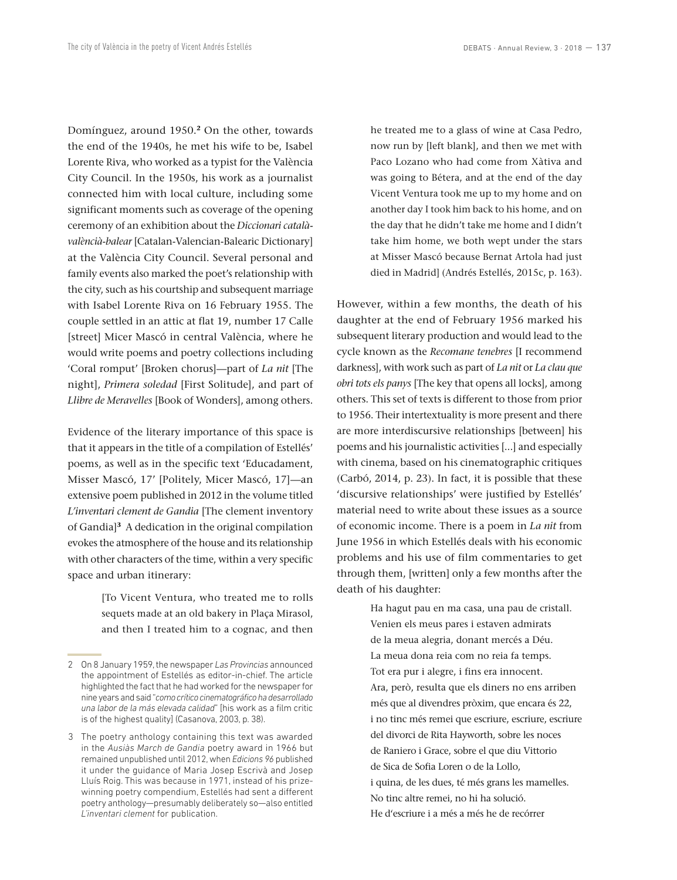Domínguez, around 1950.**<sup>2</sup>** On the other, towards the end of the 1940s, he met his wife to be, Isabel Lorente Riva, who worked as a typist for the València City Council. In the 1950s, his work as a journalist connected him with local culture, including some significant moments such as coverage of the opening ceremony of an exhibition about the *Diccionari catalàvalèncià-balear* [Catalan-Valencian-Balearic Dictionary] at the València City Council. Several personal and family events also marked the poet's relationship with the city, such as his courtship and subsequent marriage with Isabel Lorente Riva on 16 February 1955. The couple settled in an attic at flat 19, number 17 Calle [street] Micer Mascó in central València, where he would write poems and poetry collections including 'Coral romput' [Broken chorus]—part of *La nit* [The night], *Primera soledad* [First Solitude], and part of *Llibre de Meravelles* [Book of Wonders], among others.

Evidence of the literary importance of this space is that it appears in the title of a compilation of Estellés' poems, as well as in the specific text 'Educadament, Misser Mascó, 17' [Politely, Micer Mascó, 17]—an extensive poem published in 2012 in the volume titled *L'inventari clement de Gandia* [The clement inventory of Gandia]**<sup>3</sup>** A dedication in the original compilation evokes the atmosphere of the house and its relationship with other characters of the time, within a very specific space and urban itinerary:

> [To Vicent Ventura, who treated me to rolls sequets made at an old bakery in Plaça Mirasol, and then I treated him to a cognac, and then

he treated me to a glass of wine at Casa Pedro, now run by [left blank], and then we met with Paco Lozano who had come from Xàtiva and was going to Bétera, and at the end of the day Vicent Ventura took me up to my home and on another day I took him back to his home, and on the day that he didn't take me home and I didn't take him home, we both wept under the stars at Misser Mascó because Bernat Artola had just died in Madrid] (Andrés Estellés, 2015c, p. 163).

However, within a few months, the death of his daughter at the end of February 1956 marked his subsequent literary production and would lead to the cycle known as the *Recomane tenebres* [I recommend darkness], with work such as part of *La nit* or *La clau que obri tots els panys* [The key that opens all locks], among others. This set of texts is different to those from prior to 1956. Their intertextuality is more present and there are more interdiscursive relationships [between] his poems and his journalistic activities [...] and especially with cinema, based on his cinematographic critiques (Carbó, 2014, p. 23). In fact, it is possible that these 'discursive relationships' were justified by Estellés' material need to write about these issues as a source of economic income. There is a poem in *La nit* from June 1956 in which Estellés deals with his economic problems and his use of film commentaries to get through them, [written] only a few months after the death of his daughter:

> Ha hagut pau en ma casa, una pau de cristall. Venien els meus pares i estaven admirats de la meua alegria, donant mercés a Déu. La meua dona reia com no reia fa temps. Tot era pur i alegre, i fins era innocent. Ara, però, resulta que els diners no ens arriben més que al divendres pròxim, que encara és 22, i no tinc més remei que escriure, escriure, escriure del divorci de Rita Hayworth, sobre les noces de Raniero i Grace, sobre el que diu Vittorio de Sica de Sofia Loren o de la Lollo, i quina, de les dues, té més grans les mamelles. No tinc altre remei, no hi ha solució. He d'escriure i a més a més he de recórrer

<sup>2</sup> On 8 January 1959, the newspaper *Las Provincias* announced the appointment of Estellés as editor-in-chief. The article highlighted the fact that he had worked for the newspaper for nine years and said "*como crítico cinematográfico ha desarrollado una labor de la más elevada calidad*" [his work as a film critic is of the highest quality] (Casanova, 2003, p. 38).

<sup>3</sup> The poetry anthology containing this text was awarded in the *Ausiàs March de Gandia* poetry award in 1966 but remained unpublished until 2012, when *Edicions 96* published it under the guidance of Maria Josep Escrivà and Josep Lluís Roig. This was because in 1971, instead of his prizewinning poetry compendium, Estellés had sent a different poetry anthology—presumably deliberately so—also entitled *L'inventari clement* for publication.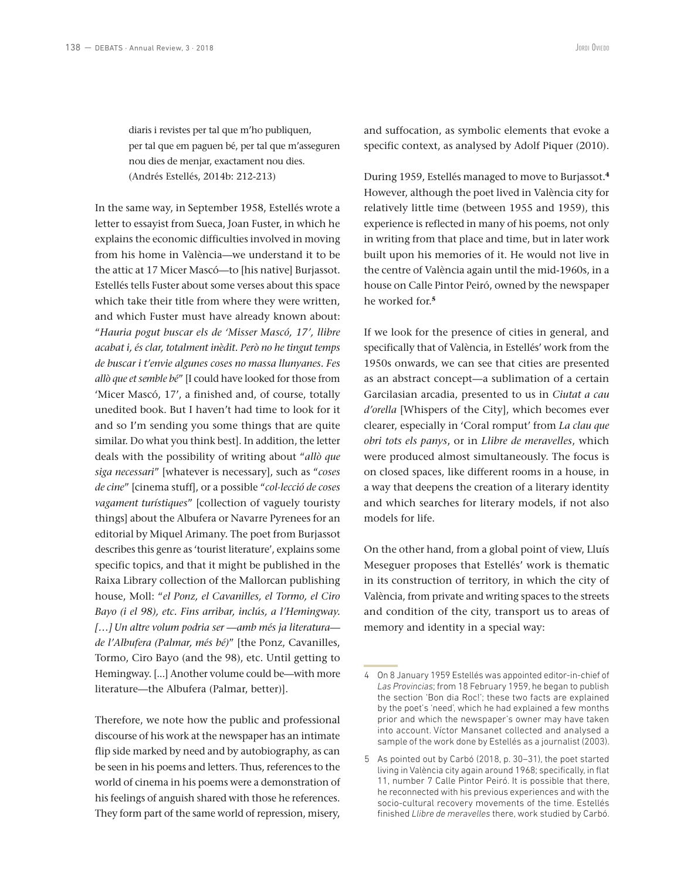diaris i revistes per tal que m'ho publiquen, per tal que em paguen bé, per tal que m'asseguren nou dies de menjar, exactament nou dies. (Andrés Estellés, 2014b: 212-213)

In the same way, in September 1958, Estellés wrote a letter to essayist from Sueca, Joan Fuster, in which he explains the economic difficulties involved in moving from his home in València—we understand it to be the attic at 17 Micer Mascó—to [his native] Burjassot. Estellés tells Fuster about some verses about this space which take their title from where they were written, and which Fuster must have already known about: "*Hauria pogut buscar els de 'Misser Mascó, 17', llibre acabat i, és clar, totalment inèdit. Però no he tingut temps de buscar i t'envie algunes coses no massa llunyanes. Fes allò que et semble bé*" [I could have looked for those from 'Micer Mascó, 17', a finished and, of course, totally unedited book. But I haven't had time to look for it and so I'm sending you some things that are quite similar. Do what you think best]. In addition, the letter deals with the possibility of writing about "*allò que siga necessari*" [whatever is necessary], such as "*coses de cine*" [cinema stuff], or a possible "*col·lecció de coses vagament turístiques*" [collection of vaguely touristy things] about the Albufera or Navarre Pyrenees for an editorial by Miquel Arimany. The poet from Burjassot describes this genre as 'tourist literature', explains some specific topics, and that it might be published in the Raixa Library collection of the Mallorcan publishing house, Moll: "*el Ponz, el Cavanilles, el Tormo, el Ciro Bayo (i el 98), etc. Fins arribar, inclús, a l'Hemingway. […] Un altre volum podria ser —amb més ja literatura de l'Albufera (Palmar, més bé)*" [the Ponz, Cavanilles, Tormo, Ciro Bayo (and the 98), etc. Until getting to Hemingway. [...] Another volume could be—with more literature—the Albufera (Palmar, better)].

Therefore, we note how the public and professional discourse of his work at the newspaper has an intimate flip side marked by need and by autobiography, as can be seen in his poems and letters. Thus, references to the world of cinema in his poems were a demonstration of his feelings of anguish shared with those he references. They form part of the same world of repression, misery,

and suffocation, as symbolic elements that evoke a specific context, as analysed by Adolf Piquer (2010).

During 1959, Estellés managed to move to Burjassot.**<sup>4</sup>** However, although the poet lived in València city for relatively little time (between 1955 and 1959), this experience is reflected in many of his poems, not only in writing from that place and time, but in later work built upon his memories of it. He would not live in the centre of València again until the mid-1960s, in a house on Calle Pintor Peiró, owned by the newspaper he worked for.**<sup>5</sup>**

If we look for the presence of cities in general, and specifically that of València, in Estellés' work from the 1950s onwards, we can see that cities are presented as an abstract concept—a sublimation of a certain Garcilasian arcadia, presented to us in *Ciutat a cau d'orella* [Whispers of the City], which becomes ever clearer, especially in 'Coral romput' from *La clau que obri tots els panys*, or in *Llibre de meravelles*, which were produced almost simultaneously. The focus is on closed spaces, like different rooms in a house, in a way that deepens the creation of a literary identity and which searches for literary models, if not also models for life.

On the other hand, from a global point of view, Lluís Meseguer proposes that Estellés' work is thematic in its construction of territory, in which the city of València, from private and writing spaces to the streets and condition of the city, transport us to areas of memory and identity in a special way:

<sup>4</sup> On 8 January 1959 Estellés was appointed editor-in-chief of *Las Provincias*; from 18 February 1959, he began to publish the section 'Bon dia Roc!'; these two facts are explained by the poet's 'need', which he had explained a few months prior and which the newspaper's owner may have taken into account. Víctor Mansanet collected and analysed a sample of the work done by Estellés as a journalist (2003).

<sup>5</sup> As pointed out by Carbó (2018, p. 30–31), the poet started living in València city again around 1968; specifically, in flat 11, number 7 Calle Pintor Peiró. It is possible that there, he reconnected with his previous experiences and with the socio-cultural recovery movements of the time. Estellés finished *Llibre de meravelles* there, work studied by Carbó.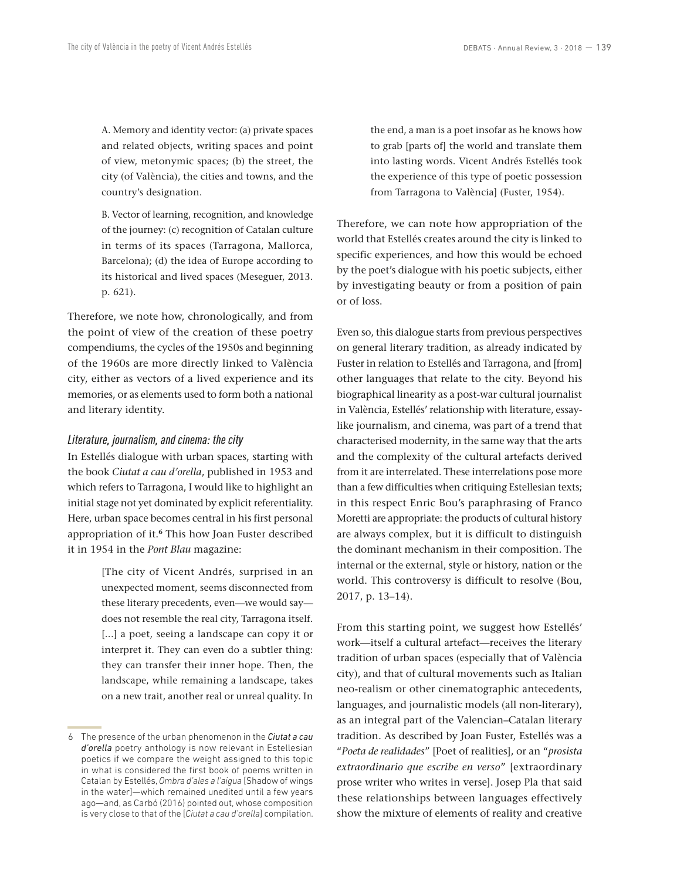A. Memory and identity vector: (a) private spaces and related objects, writing spaces and point of view, metonymic spaces; (b) the street, the city (of València), the cities and towns, and the country's designation.

B. Vector of learning, recognition, and knowledge of the journey: (c) recognition of Catalan culture in terms of its spaces (Tarragona, Mallorca, Barcelona); (d) the idea of Europe according to its historical and lived spaces (Meseguer, 2013. p. 621).

Therefore, we note how, chronologically, and from the point of view of the creation of these poetry compendiums, the cycles of the 1950s and beginning of the 1960s are more directly linked to València city, either as vectors of a lived experience and its memories, or as elements used to form both a national and literary identity.

# *Literature, journalism, and cinema: the city*

In Estellés dialogue with urban spaces, starting with the book *Ciutat a cau d'orella*, published in 1953 and which refers to Tarragona, I would like to highlight an initial stage not yet dominated by explicit referentiality. Here, urban space becomes central in his first personal appropriation of it.**<sup>6</sup>** This how Joan Fuster described it in 1954 in the *Pont Blau* magazine:

> [The city of Vicent Andrés, surprised in an unexpected moment, seems disconnected from these literary precedents, even—we would say does not resemble the real city, Tarragona itself. [...] a poet, seeing a landscape can copy it or interpret it. They can even do a subtler thing: they can transfer their inner hope. Then, the landscape, while remaining a landscape, takes on a new trait, another real or unreal quality. In

the end, a man is a poet insofar as he knows how to grab [parts of] the world and translate them into lasting words. Vicent Andrés Estellés took the experience of this type of poetic possession from Tarragona to València] (Fuster, 1954).

Therefore, we can note how appropriation of the world that Estellés creates around the city is linked to specific experiences, and how this would be echoed by the poet's dialogue with his poetic subjects, either by investigating beauty or from a position of pain or of loss.

Even so, this dialogue starts from previous perspectives on general literary tradition, as already indicated by Fuster in relation to Estellés and Tarragona, and [from] other languages that relate to the city. Beyond his biographical linearity as a post-war cultural journalist in València, Estellés' relationship with literature, essaylike journalism, and cinema, was part of a trend that characterised modernity, in the same way that the arts and the complexity of the cultural artefacts derived from it are interrelated. These interrelations pose more than a few difficulties when critiquing Estellesian texts; in this respect Enric Bou's paraphrasing of Franco Moretti are appropriate: the products of cultural history are always complex, but it is difficult to distinguish the dominant mechanism in their composition. The internal or the external, style or history, nation or the world. This controversy is difficult to resolve (Bou, 2017, p. 13–14).

From this starting point, we suggest how Estellés' work—itself a cultural artefact—receives the literary tradition of urban spaces (especially that of València city), and that of cultural movements such as Italian neo-realism or other cinematographic antecedents, languages, and journalistic models (all non-literary), as an integral part of the Valencian–Catalan literary tradition. As described by Joan Fuster, Estellés was a "*Poeta de realidades*" [Poet of realities], or an "*prosista extraordinario que escribe en verso*" [extraordinary prose writer who writes in verse]. Josep Pla that said these relationships between languages effectively show the mixture of elements of reality and creative

<sup>6</sup> The presence of the urban phenomenon in the *Ciutat a cau d'orella* poetry anthology is now relevant in Estellesian poetics if we compare the weight assigned to this topic in what is considered the first book of poems written in Catalan by Estellés, *Ombra d'ales a l'aigua* [Shadow of wings in the water]—which remained unedited until a few years ago—and, as Carbó (2016) pointed out, whose composition is very close to that of the [*Ciutat a cau d'orella*] compilation.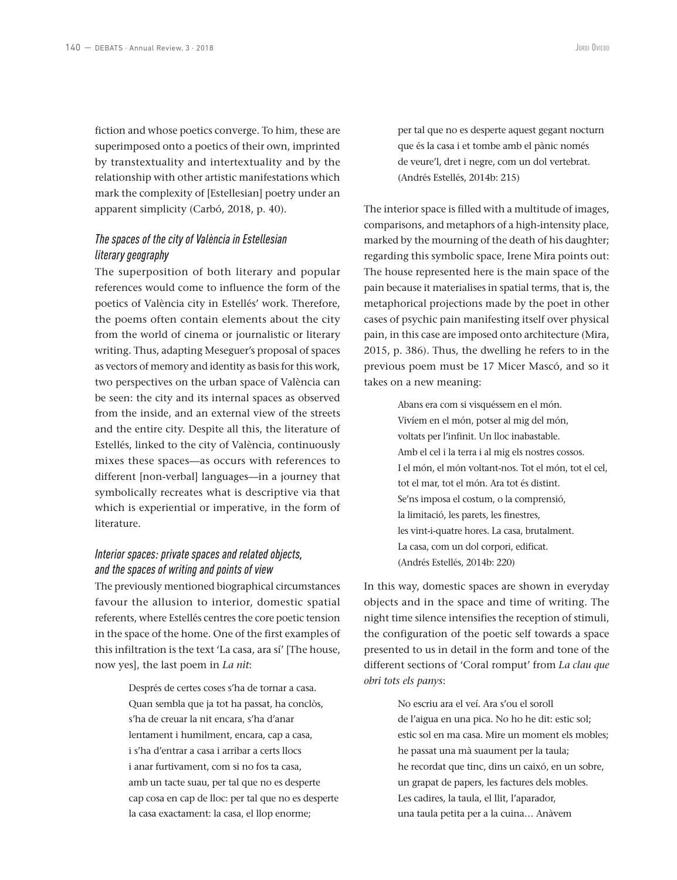fiction and whose poetics converge. To him, these are superimposed onto a poetics of their own, imprinted by transtextuality and intertextuality and by the relationship with other artistic manifestations which mark the complexity of [Estellesian] poetry under an apparent simplicity (Carbó, 2018, p. 40).

# *The spaces of the city of València in Estellesian literary geography*

The superposition of both literary and popular references would come to influence the form of the poetics of València city in Estellés' work. Therefore, the poems often contain elements about the city from the world of cinema or journalistic or literary writing. Thus, adapting Meseguer's proposal of spaces as vectors of memory and identity as basis for this work, two perspectives on the urban space of València can be seen: the city and its internal spaces as observed from the inside, and an external view of the streets and the entire city. Despite all this, the literature of Estellés, linked to the city of València, continuously mixes these spaces—as occurs with references to different [non-verbal] languages—in a journey that symbolically recreates what is descriptive via that which is experiential or imperative, in the form of literature.

# *Interior spaces: private spaces and related objects, and the spaces of writing and points of view*

The previously mentioned biographical circumstances favour the allusion to interior, domestic spatial referents, where Estellés centres the core poetic tension in the space of the home. One of the first examples of this infiltration is the text 'La casa, ara sí' [The house, now yes], the last poem in *La nit*:

> Després de certes coses s'ha de tornar a casa. Quan sembla que ja tot ha passat, ha conclòs, s'ha de creuar la nit encara, s'ha d'anar lentament i humilment, encara, cap a casa, i s'ha d'entrar a casa i arribar a certs llocs i anar furtivament, com si no fos ta casa, amb un tacte suau, per tal que no es desperte cap cosa en cap de lloc: per tal que no es desperte la casa exactament: la casa, el llop enorme;

per tal que no es desperte aquest gegant nocturn que és la casa i et tombe amb el pànic només de veure'l, dret i negre, com un dol vertebrat. (Andrés Estellés, 2014b: 215)

The interior space is filled with a multitude of images, comparisons, and metaphors of a high-intensity place, marked by the mourning of the death of his daughter; regarding this symbolic space, Irene Mira points out: The house represented here is the main space of the pain because it materialises in spatial terms, that is, the metaphorical projections made by the poet in other cases of psychic pain manifesting itself over physical pain, in this case are imposed onto architecture (Mira, 2015, p. 386). Thus, the dwelling he refers to in the previous poem must be 17 Micer Mascó, and so it takes on a new meaning:

> Abans era com si visquéssem en el món. Vivíem en el món, potser al mig del món, voltats per l'infinit. Un lloc inabastable. Amb el cel i la terra i al mig els nostres cossos. I el món, el món voltant-nos. Tot el món, tot el cel, tot el mar, tot el món. Ara tot és distint. Se'ns imposa el costum, o la comprensió, la limitació, les parets, les finestres, les vint-i-quatre hores. La casa, brutalment. La casa, com un dol corpori, edificat. (Andrés Estellés, 2014b: 220)

In this way, domestic spaces are shown in everyday objects and in the space and time of writing. The night time silence intensifies the reception of stimuli, the configuration of the poetic self towards a space presented to us in detail in the form and tone of the different sections of 'Coral romput' from *La clau que obri tots els panys*:

> No escriu ara el veí. Ara s'ou el soroll de l'aigua en una pica. No ho he dit: estic sol; estic sol en ma casa. Mire un moment els mobles; he passat una mà suaument per la taula; he recordat que tinc, dins un caixó, en un sobre, un grapat de papers, les factures dels mobles. Les cadires, la taula, el llit, l'aparador, una taula petita per a la cuina… Anàvem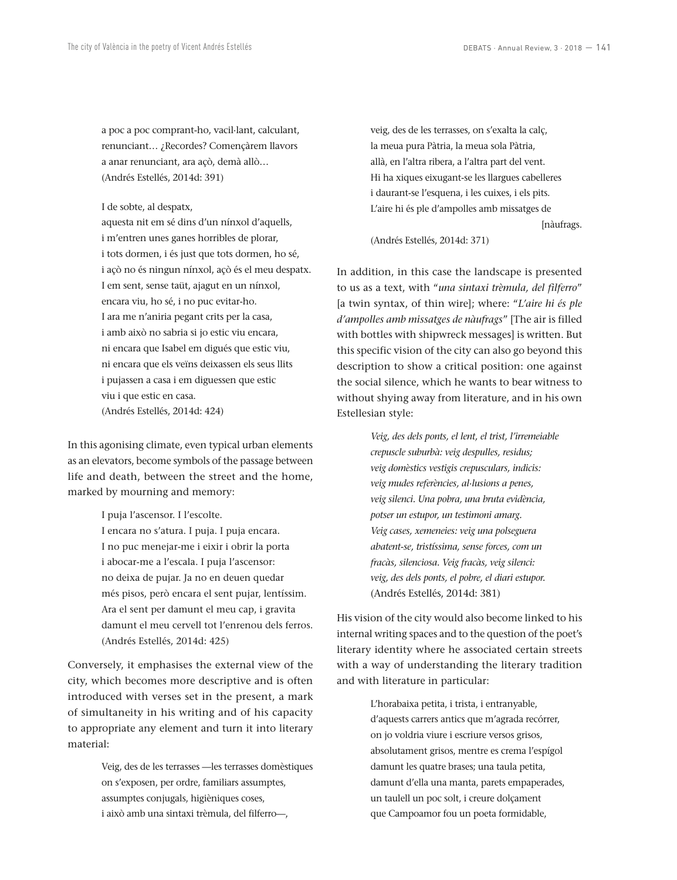a poc a poc comprant-ho, vacil·lant, calculant, renunciant… ¿Recordes? Començàrem llavors a anar renunciant, ara açò, demà allò… (Andrés Estellés, 2014d: 391)

I de sobte, al despatx,

aquesta nit em sé dins d'un nínxol d'aquells, i m'entren unes ganes horribles de plorar, i tots dormen, i és just que tots dormen, ho sé, i açò no és ningun nínxol, açò és el meu despatx. I em sent, sense taüt, ajagut en un nínxol, encara viu, ho sé, i no puc evitar-ho. I ara me n'aniria pegant crits per la casa, i amb això no sabria si jo estic viu encara, ni encara que Isabel em digués que estic viu, ni encara que els veïns deixassen els seus llits i pujassen a casa i em diguessen que estic viu i que estic en casa. (Andrés Estellés, 2014d: 424)

In this agonising climate, even typical urban elements as an elevators, become symbols of the passage between life and death, between the street and the home, marked by mourning and memory:

I puja l'ascensor. I l'escolte.

I encara no s'atura. I puja. I puja encara. I no puc menejar-me i eixir i obrir la porta i abocar-me a l'escala. I puja l'ascensor: no deixa de pujar. Ja no en deuen quedar més pisos, però encara el sent pujar, lentíssim. Ara el sent per damunt el meu cap, i gravita damunt el meu cervell tot l'enrenou dels ferros. (Andrés Estellés, 2014d: 425)

Conversely, it emphasises the external view of the city, which becomes more descriptive and is often introduced with verses set in the present, a mark of simultaneity in his writing and of his capacity to appropriate any element and turn it into literary material:

> Veig, des de les terrasses —les terrasses domèstiques on s'exposen, per ordre, familiars assumptes, assumptes conjugals, higièniques coses, i això amb una sintaxi trèmula, del filferro—,

veig, des de les terrasses, on s'exalta la calç, la meua pura Pàtria, la meua sola Pàtria, allà, en l'altra ribera, a l'altra part del vent. Hi ha xiques eixugant-se les llargues cabelleres i daurant-se l'esquena, i les cuixes, i els pits. L'aire hi és ple d'ampolles amb missatges de

[nàufrags.

(Andrés Estellés, 2014d: 371)

In addition, in this case the landscape is presented to us as a text, with "*una sintaxi trèmula, del filferro*" [a twin syntax, of thin wire]; where: "*L'aire hi és ple d'ampolles amb missatges de nàufrags*" [The air is filled with bottles with shipwreck messages] is written. But this specific vision of the city can also go beyond this description to show a critical position: one against the social silence, which he wants to bear witness to without shying away from literature, and in his own Estellesian style:

> *Veig, des dels ponts, el lent, el trist, l'irremeiable crepuscle suburbà: veig despulles, residus; veig domèstics vestigis crepusculars, indicis: veig mudes referències, al·lusions a penes, veig silenci. Una pobra, una bruta evidència, potser un estupor, un testimoni amarg. Veig cases, xemeneies: veig una polseguera abatent-se, tristíssima, sense forces, com un fracàs, silenciosa. Veig fracàs, veig silenci: veig, des dels ponts, el pobre, el diari estupor.* (Andrés Estellés, 2014d: 381)

His vision of the city would also become linked to his internal writing spaces and to the question of the poet's literary identity where he associated certain streets with a way of understanding the literary tradition and with literature in particular:

> L'horabaixa petita, i trista, i entranyable, d'aquests carrers antics que m'agrada recórrer, on jo voldria viure i escriure versos grisos, absolutament grisos, mentre es crema l'espígol damunt les quatre brases; una taula petita, damunt d'ella una manta, parets empaperades, un taulell un poc solt, i creure dolçament que Campoamor fou un poeta formidable,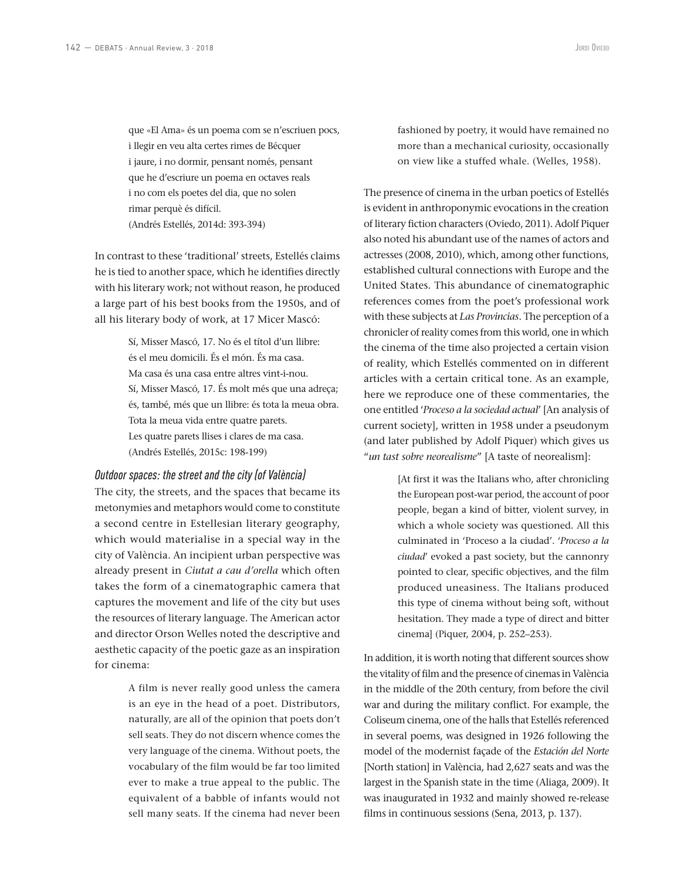que «El Ama» és un poema com se n'escriuen pocs, i llegir en veu alta certes rimes de Bécquer i jaure, i no dormir, pensant només, pensant que he d'escriure un poema en octaves reals i no com els poetes del dia, que no solen rimar perquè és difícil. (Andrés Estellés, 2014d: 393-394)

In contrast to these 'traditional' streets, Estellés claims he is tied to another space, which he identifies directly with his literary work; not without reason, he produced a large part of his best books from the 1950s, and of all his literary body of work, at 17 Micer Mascó:

> Sí, Misser Mascó, 17. No és el títol d'un llibre: és el meu domicili. És el món. És ma casa. Ma casa és una casa entre altres vint-i-nou. Sí, Misser Mascó, 17. És molt més que una adreça; és, també, més que un llibre: és tota la meua obra. Tota la meua vida entre quatre parets. Les quatre parets llises i clares de ma casa. (Andrés Estellés, 2015c: 198-199)

## *Outdoor spaces: the street and the city (of València)*

The city, the streets, and the spaces that became its metonymies and metaphors would come to constitute a second centre in Estellesian literary geography, which would materialise in a special way in the city of València. An incipient urban perspective was already present in *Ciutat a cau d'orella* which often takes the form of a cinematographic camera that captures the movement and life of the city but uses the resources of literary language. The American actor and director Orson Welles noted the descriptive and aesthetic capacity of the poetic gaze as an inspiration for cinema:

> A film is never really good unless the camera is an eye in the head of a poet. Distributors, naturally, are all of the opinion that poets don't sell seats. They do not discern whence comes the very language of the cinema. Without poets, the vocabulary of the film would be far too limited ever to make a true appeal to the public. The equivalent of a babble of infants would not sell many seats. If the cinema had never been

fashioned by poetry, it would have remained no more than a mechanical curiosity, occasionally on view like a stuffed whale. (Welles, 1958).

The presence of cinema in the urban poetics of Estellés is evident in anthroponymic evocations in the creation of literary fiction characters (Oviedo, 2011). Adolf Piquer also noted his abundant use of the names of actors and actresses (2008, 2010), which, among other functions, established cultural connections with Europe and the United States. This abundance of cinematographic references comes from the poet's professional work with these subjects at *Las Provincias*. The perception of a chronicler of reality comes from this world, one in which the cinema of the time also projected a certain vision of reality, which Estellés commented on in different articles with a certain critical tone. As an example, here we reproduce one of these commentaries, the one entitled '*Proceso a la sociedad actual*' [An analysis of current society], written in 1958 under a pseudonym (and later published by Adolf Piquer) which gives us "*un tast sobre neorealisme*" [A taste of neorealism]:

> [At first it was the Italians who, after chronicling the European post-war period, the account of poor people, began a kind of bitter, violent survey, in which a whole society was questioned. All this culminated in 'Proceso a la ciudad'. '*Proceso a la ciudad*' evoked a past society, but the cannonry pointed to clear, specific objectives, and the film produced uneasiness. The Italians produced this type of cinema without being soft, without hesitation. They made a type of direct and bitter cinema] (Piquer, 2004, p. 252–253).

In addition, it is worth noting that different sources show the vitality of film and the presence of cinemas in València in the middle of the 20th century, from before the civil war and during the military conflict. For example, the Coliseum cinema, one of the halls that Estellés referenced in several poems, was designed in 1926 following the model of the modernist façade of the *Estación del Norte*  [North station] in València, had 2,627 seats and was the largest in the Spanish state in the time (Aliaga, 2009). It was inaugurated in 1932 and mainly showed re-release films in continuous sessions (Sena, 2013, p. 137).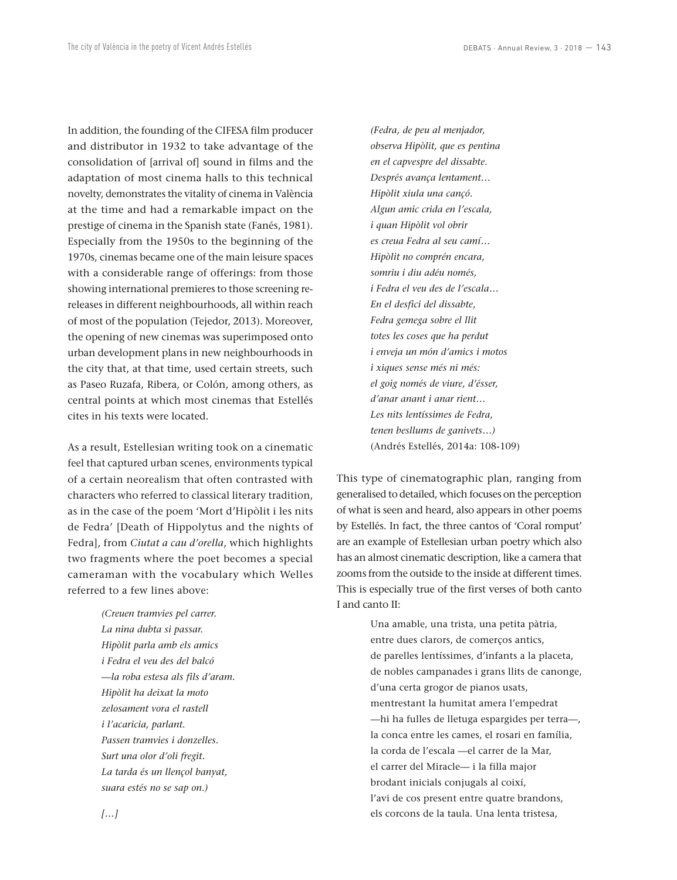In addition, the founding of the CIFESA film producer and distributor in 1932 to take advantage of the consolidation of [arrival of] sound in films and the adaptation of most cinema halls to this technical novelty, demonstrates the vitality of cinema in València at the time and had a remarkable impact on the prestige of cinema in the Spanish state (Fanés, 1981). Especially from the 1950s to the beginning of the 1970s, cinemas became one of the main leisure spaces with a considerable range of offerings: from those showing international premieres to those screening rereleases in different neighbourhoods, all within reach of most of the population (Tejedor, 2013). Moreover, the opening of new cinemas was superimposed onto urban development plans in new neighbourhoods in the city that, at that time, used certain streets, such as Paseo Ruzafa, Ribera, or Colón, among others, as central points at which most cinemas that Estellés cites in his texts were located.

As a result, Estellesian writing took on a cinematic feel that captured urban scenes, environments typical of a certain neorealism that often contrasted with characters who referred to classical literary tradition, as in the case of the poem 'Mort d'Hipòlit i les nits de Fedra' [Death of Hippolytus and the nights of Fedra], from *Ciutat a cau d'orella*, which highlights two fragments where the poet becomes a special cameraman with the vocabulary which Welles referred to a few lines above:

> *(Creuen tramvies pel carrer. La nina dubta si passar. Hipòlit parla amb els amics i Fedra el veu des del balcó —la roba estesa als fils d'aram. Hipòlit ha deixat la moto zelosament vora el rastell i l'acaricia, parlant. Passen tramvies i donzelles. Surt una olor d'oli fregit. La tarda és un llençol banyat, suara estés no se sap on.)*

*(Fedra, de peu al menjador, observa Hipòlit, que es pentina en el capvespre del dissabte. Després avança lentament… Hipòlit xiula una cançó. Algun amic crida en l'escala, i quan Hipòlit vol obrir es creua Fedra al seu camí… Hipòlit no comprén encara, somriu i diu adéu només, i Fedra el veu des de l'escala… En el desfici del dissabte, Fedra gemega sobre el llit totes les coses que ha perdut i enveja un món d'amics i motos i xiques sense més ni més: el goig només de viure, d'ésser, d'anar anant i anar rient… Les nits lentíssimes de Fedra, tenen besllums de ganivets…)* (Andrés Estellés, 2014a: 108-109)

This type of cinematographic plan, ranging from generalised to detailed, which focuses on the perception of what is seen and heard, also appears in other poems by Estellés. In fact, the three cantos of 'Coral romput' are an example of Estellesian urban poetry which also has an almost cinematic description, like a camera that zooms from the outside to the inside at different times. This is especially true of the first verses of both canto I and canto II:

> Una amable, una trista, una petita pàtria, entre dues clarors, de comerços antics, de parelles lentíssimes, d'infants a la placeta, de nobles campanades i grans llits de canonge, d'una certa grogor de pianos usats, mentrestant la humitat amera l'empedrat —hi ha fulles de lletuga espargides per terra—, la conca entre les cames, el rosari en família, la corda de l'escala —el carrer de la Mar, el carrer del Miracle— i la filla major brodant inicials conjugals al coixí, l'avi de cos present entre quatre brandons, els corcons de la taula. Una lenta tristesa,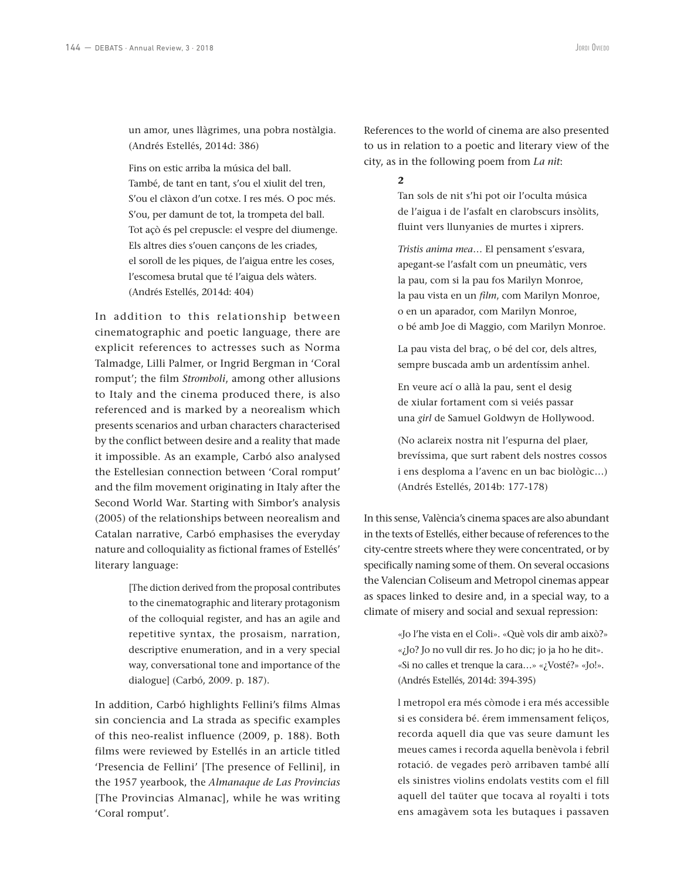un amor, unes llàgrimes, una pobra nostàlgia. (Andrés Estellés, 2014d: 386)

Fins on estic arriba la música del ball. També, de tant en tant, s'ou el xiulit del tren, S'ou el clàxon d'un cotxe. I res més. O poc més. S'ou, per damunt de tot, la trompeta del ball. Tot açò és pel crepuscle: el vespre del diumenge. Els altres dies s'ouen cançons de les criades, el soroll de les piques, de l'aigua entre les coses, l'escomesa brutal que té l'aigua dels wàters. (Andrés Estellés, 2014d: 404)

In addition to this relationship between cinematographic and poetic language, there are explicit references to actresses such as Norma Talmadge, Lilli Palmer, or Ingrid Bergman in 'Coral romput'; the film *Stromboli*, among other allusions to Italy and the cinema produced there, is also referenced and is marked by a neorealism which presents scenarios and urban characters characterised by the conflict between desire and a reality that made it impossible. As an example, Carbó also analysed the Estellesian connection between 'Coral romput' and the film movement originating in Italy after the Second World War. Starting with Simbor's analysis (2005) of the relationships between neorealism and Catalan narrative, Carbó emphasises the everyday nature and colloquiality as fictional frames of Estellés' literary language:

> [The diction derived from the proposal contributes to the cinematographic and literary protagonism of the colloquial register, and has an agile and repetitive syntax, the prosaism, narration, descriptive enumeration, and in a very special way, conversational tone and importance of the dialogue] (Carbó, 2009. p. 187).

In addition, Carbó highlights Fellini's films Almas sin conciencia and La strada as specific examples of this neo-realist influence (2009, p. 188). Both films were reviewed by Estellés in an article titled 'Presencia de Fellini' [The presence of Fellini], in the 1957 yearbook, the *Almanaque de Las Provincias* [The Provincias Almanac], while he was writing 'Coral romput'.

References to the world of cinema are also presented to us in relation to a poetic and literary view of the city, as in the following poem from *La nit*:

#### **2**

Tan sols de nit s'hi pot oir l'oculta música de l'aigua i de l'asfalt en clarobscurs insòlits, fluint vers llunyanies de murtes i xiprers.

*Tristis anima mea*… El pensament s'esvara, apegant-se l'asfalt com un pneumàtic, vers la pau, com si la pau fos Marilyn Monroe, la pau vista en un *film*, com Marilyn Monroe, o en un aparador, com Marilyn Monroe, o bé amb Joe di Maggio, com Marilyn Monroe.

La pau vista del braç, o bé del cor, dels altres, sempre buscada amb un ardentíssim anhel.

En veure ací o allà la pau, sent el desig de xiular fortament com si veiés passar una *girl* de Samuel Goldwyn de Hollywood.

(No aclareix nostra nit l'espurna del plaer, brevíssima, que surt rabent dels nostres cossos i ens desploma a l'avenc en un bac biològic…) (Andrés Estellés, 2014b: 177-178)

In this sense, València's cinema spaces are also abundant in the texts of Estellés, either because of references to the city-centre streets where they were concentrated, or by specifically naming some of them. On several occasions the Valencian Coliseum and Metropol cinemas appear as spaces linked to desire and, in a special way, to a climate of misery and social and sexual repression:

> «Jo l'he vista en el Coli». «Què vols dir amb això?» «¿Jo? Jo no vull dir res. Jo ho dic; jo ja ho he dit». «Si no calles et trenque la cara…» «¿Vosté?» «Jo!». (Andrés Estellés, 2014d: 394-395)

> l metropol era més còmode i era més accessible si es considera bé. érem immensament feliços, recorda aquell dia que vas seure damunt les meues cames i recorda aquella benèvola i febril rotació. de vegades però arribaven també allí els sinistres violins endolats vestits com el fill aquell del taüter que tocava al royalti i tots ens amagàvem sota les butaques i passaven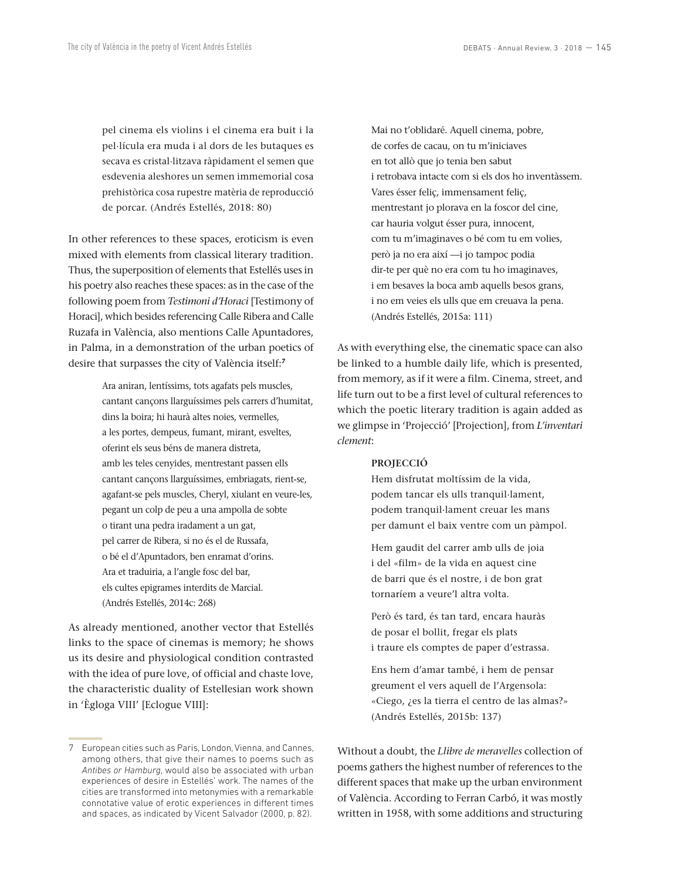pel cinema els violins i el cinema era buit i la pel·lícula era muda i al dors de les butaques es secava es cristal·litzava ràpidament el semen que esdevenia aleshores un semen immemorial cosa prehistòrica cosa rupestre matèria de reproducció de porcar. (Andrés Estellés, 2018: 80)

In other references to these spaces, eroticism is even mixed with elements from classical literary tradition. Thus, the superposition of elements that Estellés uses in his poetry also reaches these spaces: as in the case of the following poem from *Testimoni d'Horaci* [Testimony of Horaci], which besides referencing Calle Ribera and Calle Ruzafa in València, also mentions Calle Apuntadores, in Palma, in a demonstration of the urban poetics of desire that surpasses the city of València itself:**<sup>7</sup>**

> Ara aniran, lentíssims, tots agafats pels muscles, cantant cançons llarguíssimes pels carrers d'humitat, dins la boira; hi haurà altes noies, vermelles, a les portes, dempeus, fumant, mirant, esveltes, oferint els seus béns de manera distreta, amb les teles cenyides, mentrestant passen ells cantant cançons llarguíssimes, embriagats, rient-se, agafant-se pels muscles, Cheryl, xiulant en veure-les, pegant un colp de peu a una ampolla de sobte o tirant una pedra iradament a un gat, pel carrer de Ribera, si no és el de Russafa, o bé el d'Apuntadors, ben enramat d'orins. Ara et traduiria, a l'angle fosc del bar, els cultes epigrames interdits de Marcial. (Andrés Estellés, 2014c: 268)

As already mentioned, another vector that Estellés links to the space of cinemas is memory; he shows us its desire and physiological condition contrasted with the idea of pure love, of official and chaste love, the characteristic duality of Estellesian work shown in 'Ègloga VIII' [Eclogue VIII]:

Mai no t'oblidaré. Aquell cinema, pobre, de corfes de cacau, on tu m'iniciaves en tot allò que jo tenia ben sabut i retrobava intacte com si els dos ho inventàssem. Vares ésser feliç, immensament feliç, mentrestant jo plorava en la foscor del cine, car hauria volgut ésser pura, innocent, com tu m'imaginaves o bé com tu em volies, però ja no era així —i jo tampoc podia dir-te per què no era com tu ho imaginaves, i em besaves la boca amb aquells besos grans, i no em veies els ulls que em creuava la pena. (Andrés Estellés, 2015a: 111)

As with everything else, the cinematic space can also be linked to a humble daily life, which is presented, from memory, as if it were a film. Cinema, street, and life turn out to be a first level of cultural references to which the poetic literary tradition is again added as we glimpse in 'Projecció' [Projection], from *L'inventari clement*:

#### **PROJECCIÓ**

Hem disfrutat moltíssim de la vida, podem tancar els ulls tranquil·lament, podem tranquil·lament creuar les mans per damunt el baix ventre com un pàmpol.

Hem gaudit del carrer amb ulls de joia i del «film» de la vida en aquest cine de barri que és el nostre, i de bon grat tornaríem a veure'l altra volta.

Però és tard, és tan tard, encara hauràs de posar el bollit, fregar els plats i traure els comptes de paper d'estrassa.

Ens hem d'amar també, i hem de pensar greument el vers aquell de l'Argensola: «Ciego, ¿es la tierra el centro de las almas?» (Andrés Estellés, 2015b: 137)

Without a doubt, the *Llibre de meravelles* collection of poems gathers the highest number of references to the different spaces that make up the urban environment of València. According to Ferran Carbó, it was mostly written in 1958, with some additions and structuring

<sup>7</sup> European cities such as Paris, London, Vienna, and Cannes, among others, that give their names to poems such as *Antibes or Hamburg*, would also be associated with urban experiences of desire in Estellés' work. The names of the cities are transformed into metonymies with a remarkable connotative value of erotic experiences in different times and spaces, as indicated by Vicent Salvador (2000, p. 82).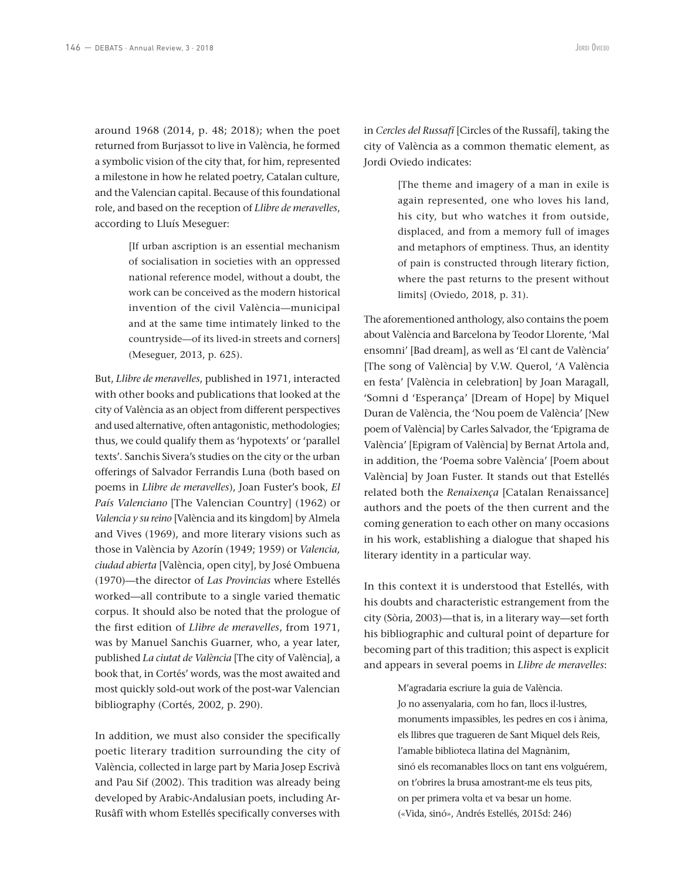around 1968 (2014, p. 48; 2018); when the poet returned from Burjassot to live in València, he formed a symbolic vision of the city that, for him, represented a milestone in how he related poetry, Catalan culture, and the Valencian capital. Because of this foundational role, and based on the reception of *Llibre de meravelles*, according to Lluís Meseguer:

> [If urban ascription is an essential mechanism of socialisation in societies with an oppressed national reference model, without a doubt, the work can be conceived as the modern historical invention of the civil València—municipal and at the same time intimately linked to the countryside—of its lived-in streets and corners] (Meseguer, 2013, p. 625).

But, *Llibre de meravelles*, published in 1971, interacted with other books and publications that looked at the city of València as an object from different perspectives and used alternative, often antagonistic, methodologies; thus, we could qualify them as 'hypotexts' or 'parallel texts'. Sanchis Sivera's studies on the city or the urban offerings of Salvador Ferrandis Luna (both based on poems in *Llibre de meravelles*), Joan Fuster's book, *El País Valenciano* [The Valencian Country] (1962) or *Valencia y su reino* [València and its kingdom] by Almela and Vives (1969), and more literary visions such as those in València by Azorín (1949; 1959) or *Valencia, ciudad abierta* [València, open city], by José Ombuena (1970)—the director of *Las Provincias* where Estellés worked—all contribute to a single varied thematic corpus. It should also be noted that the prologue of the first edition of *Llibre de meravelles*, from 1971, was by Manuel Sanchis Guarner, who, a year later, published *La ciutat de València* [The city of València], a book that, in Cortés' words, was the most awaited and most quickly sold-out work of the post-war Valencian bibliography (Cortés, 2002, p. 290).

In addition, we must also consider the specifically poetic literary tradition surrounding the city of València, collected in large part by Maria Josep Escrivà and Pau Sif (2002). This tradition was already being developed by Arabic-Andalusian poets, including Ar-Rusâfî with whom Estellés specifically converses with

in *Cercles del Russafí* [Circles of the Russafí], taking the city of València as a common thematic element, as Jordi Oviedo indicates:

> [The theme and imagery of a man in exile is again represented, one who loves his land, his city, but who watches it from outside, displaced, and from a memory full of images and metaphors of emptiness. Thus, an identity of pain is constructed through literary fiction, where the past returns to the present without limits] (Oviedo, 2018, p. 31).

The aforementioned anthology, also contains the poem about València and Barcelona by Teodor Llorente, 'Mal ensomni' [Bad dream], as well as 'El cant de València' [The song of València] by V.W. Querol, 'A València en festa' [València in celebration] by Joan Maragall, 'Somni d 'Esperança' [Dream of Hope] by Miquel Duran de València, the 'Nou poem de València' [New poem of València] by Carles Salvador, the 'Epigrama de València' [Epigram of València] by Bernat Artola and, in addition, the 'Poema sobre València' [Poem about València] by Joan Fuster. It stands out that Estellés related both the *Renaixença* [Catalan Renaissance] authors and the poets of the then current and the coming generation to each other on many occasions in his work, establishing a dialogue that shaped his literary identity in a particular way.

In this context it is understood that Estellés, with his doubts and characteristic estrangement from the city (Sòria, 2003)—that is, in a literary way—set forth his bibliographic and cultural point of departure for becoming part of this tradition; this aspect is explicit and appears in several poems in *Llibre de meravelles*:

> M'agradaria escriure la guia de València. Jo no assenyalaria, com ho fan, llocs il·lustres, monuments impassibles, les pedres en cos i ànima, els llibres que tragueren de Sant Miquel dels Reis, l'amable biblioteca llatina del Magnànim, sinó els recomanables llocs on tant ens volguérem, on t'obrires la brusa amostrant-me els teus pits, on per primera volta et va besar un home. («Vida, sinó», Andrés Estellés, 2015d: 246)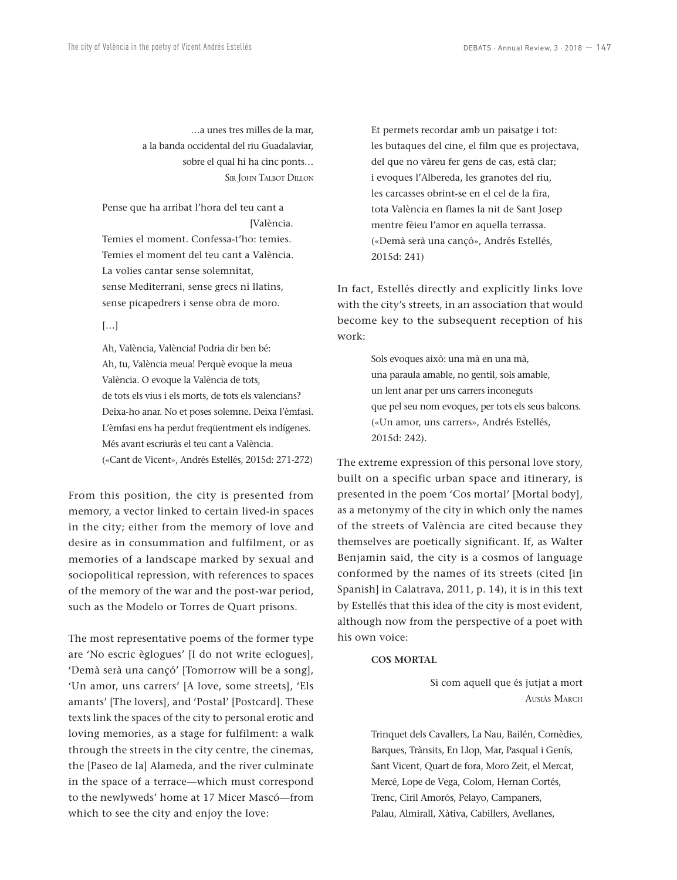…a unes tres milles de la mar, a la banda occidental del riu Guadalaviar, sobre el qual hi ha cinc ponts… Sir John Talbot Dillon

Pense que ha arribat l'hora del teu cant a [València. Temies el moment. Confessa-t'ho: temies. Temies el moment del teu cant a València. La volies cantar sense solemnitat, sense Mediterrani, sense grecs ni llatins, sense picapedrers i sense obra de moro.

#### […]

Ah, València, València! Podria dir ben bé: Ah, tu, València meua! Perquè evoque la meua València. O evoque la València de tots, de tots els vius i els morts, de tots els valencians? Deixa-ho anar. No et poses solemne. Deixa l'èmfasi. L'èmfasi ens ha perdut freqüentment els indígenes. Més avant escriuràs el teu cant a València. («Cant de Vicent», Andrés Estellés, 2015d: 271-272)

From this position, the city is presented from memory, a vector linked to certain lived-in spaces in the city; either from the memory of love and desire as in consummation and fulfilment, or as memories of a landscape marked by sexual and sociopolitical repression, with references to spaces of the memory of the war and the post-war period, such as the Modelo or Torres de Quart prisons.

The most representative poems of the former type are 'No escric èglogues' [I do not write eclogues], 'Demà serà una cançó' [Tomorrow will be a song], 'Un amor, uns carrers' [A love, some streets], 'Els amants' [The lovers], and 'Postal' [Postcard]. These texts link the spaces of the city to personal erotic and loving memories, as a stage for fulfilment: a walk through the streets in the city centre, the cinemas, the [Paseo de la] Alameda, and the river culminate in the space of a terrace—which must correspond to the newlyweds' home at 17 Micer Mascó—from which to see the city and enjoy the love:

Et permets recordar amb un paisatge i tot: les butaques del cine, el film que es projectava, del que no vàreu fer gens de cas, està clar; i evoques l'Albereda, les granotes del riu, les carcasses obrint-se en el cel de la fira, tota València en flames la nit de Sant Josep mentre fèieu l'amor en aquella terrassa. («Demà serà una cançó», Andrés Estellés, 2015d: 241)

In fact, Estellés directly and explicitly links love with the city's streets, in an association that would become key to the subsequent reception of his work:

> Sols evoques això: una mà en una mà, una paraula amable, no gentil, sols amable, un lent anar per uns carrers inconeguts que pel seu nom evoques, per tots els seus balcons. («Un amor, uns carrers», Andrés Estellés, 2015d: 242).

The extreme expression of this personal love story, built on a specific urban space and itinerary, is presented in the poem 'Cos mortal' [Mortal body], as a metonymy of the city in which only the names of the streets of València are cited because they themselves are poetically significant. If, as Walter Benjamin said, the city is a cosmos of language conformed by the names of its streets (cited [in Spanish] in Calatrava, 2011, p. 14), it is in this text by Estellés that this idea of the city is most evident, although now from the perspective of a poet with his own voice:

#### **COS MORTAL**

Si com aquell que és jutjat a mort Ausiàs March

Trinquet dels Cavallers, La Nau, Bailén, Comèdies, Barques, Trànsits, En Llop, Mar, Pasqual i Genís, Sant Vicent, Quart de fora, Moro Zeit, el Mercat, Mercé, Lope de Vega, Colom, Hernan Cortés, Trenc, Ciril Amorós, Pelayo, Campaners, Palau, Almirall, Xàtiva, Cabillers, Avellanes,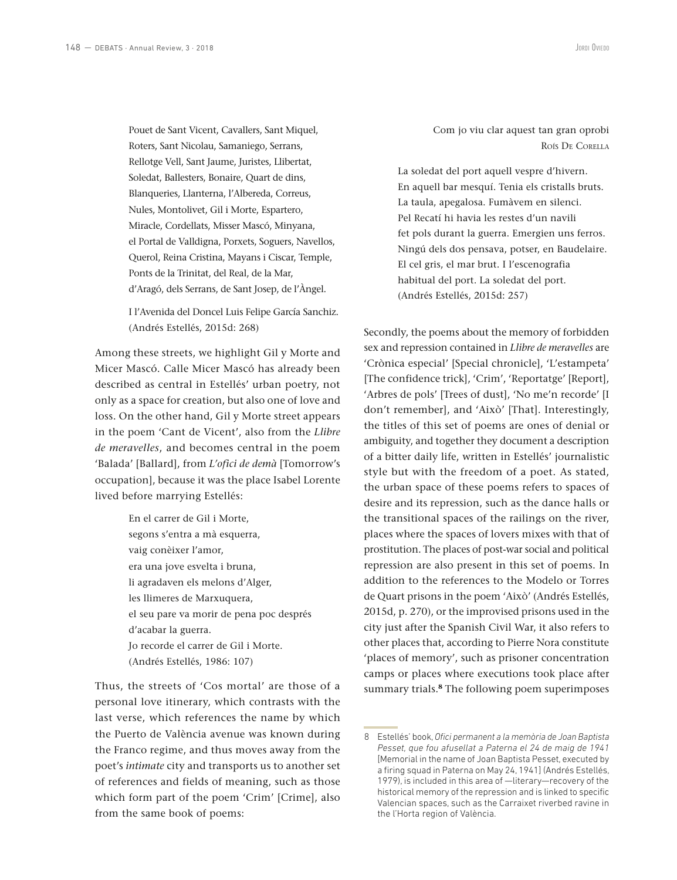Pouet de Sant Vicent, Cavallers, Sant Miquel, Roters, Sant Nicolau, Samaniego, Serrans, Rellotge Vell, Sant Jaume, Juristes, Llibertat, Soledat, Ballesters, Bonaire, Quart de dins, Blanqueries, Llanterna, l'Albereda, Correus, Nules, Montolivet, Gil i Morte, Espartero, Miracle, Cordellats, Misser Mascó, Minyana, el Portal de Valldigna, Porxets, Soguers, Navellos, Querol, Reina Cristina, Mayans i Ciscar, Temple, Ponts de la Trinitat, del Real, de la Mar, d'Aragó, dels Serrans, de Sant Josep, de l'Àngel.

I l'Avenida del Doncel Luis Felipe García Sanchiz. (Andrés Estellés, 2015d: 268)

Among these streets, we highlight Gil y Morte and Micer Mascó. Calle Micer Mascó has already been described as central in Estellés' urban poetry, not only as a space for creation, but also one of love and loss. On the other hand, Gil y Morte street appears in the poem 'Cant de Vicent', also from the *Llibre de meravelles*, and becomes central in the poem 'Balada' [Ballard], from *L'ofici de demà* [Tomorrow's occupation], because it was the place Isabel Lorente lived before marrying Estellés:

> En el carrer de Gil i Morte, segons s'entra a mà esquerra, vaig conèixer l'amor, era una jove esvelta i bruna, li agradaven els melons d'Alger, les llimeres de Marxuquera, el seu pare va morir de pena poc després d'acabar la guerra. Jo recorde el carrer de Gil i Morte. (Andrés Estellés, 1986: 107)

Thus, the streets of 'Cos mortal' are those of a personal love itinerary, which contrasts with the last verse, which references the name by which the Puerto de València avenue was known during the Franco regime, and thus moves away from the poet's *intimate* city and transports us to another set of references and fields of meaning, such as those which form part of the poem 'Crim' [Crime], also from the same book of poems:

Com jo viu clar aquest tan gran oprobi Roís De Corella

La soledat del port aquell vespre d'hivern. En aquell bar mesquí. Tenia els cristalls bruts. La taula, apegalosa. Fumàvem en silenci. Pel Recatí hi havia les restes d'un navili fet pols durant la guerra. Emergien uns ferros. Ningú dels dos pensava, potser, en Baudelaire. El cel gris, el mar brut. I l'escenografia habitual del port. La soledat del port. (Andrés Estellés, 2015d: 257)

Secondly, the poems about the memory of forbidden sex and repression contained in *Llibre de meravelles* are 'Crònica especial' [Special chronicle], 'L'estampeta' [The confidence trick], 'Crim', 'Reportatge' [Report], 'Arbres de pols' [Trees of dust], 'No me'n recorde' [I don't remember], and 'Això' [That]. Interestingly, the titles of this set of poems are ones of denial or ambiguity, and together they document a description of a bitter daily life, written in Estellés' journalistic style but with the freedom of a poet. As stated, the urban space of these poems refers to spaces of desire and its repression, such as the dance halls or the transitional spaces of the railings on the river, places where the spaces of lovers mixes with that of prostitution. The places of post-war social and political repression are also present in this set of poems. In addition to the references to the Modelo or Torres de Quart prisons in the poem 'Això' (Andrés Estellés, 2015d, p. 270), or the improvised prisons used in the city just after the Spanish Civil War, it also refers to other places that, according to Pierre Nora constitute 'places of memory', such as prisoner concentration camps or places where executions took place after summary trials.**<sup>8</sup>** The following poem superimposes

<sup>8</sup> Estellés' book, *Ofici permanent a la memòria de Joan Baptista Pesset, que fou afusellat a Paterna el 24 de maig de 1941*  [Memorial in the name of Joan Baptista Pesset, executed by a firing squad in Paterna on May 24, 1941] (Andrés Estellés, 1979), is included in this area of —literary—recovery of the historical memory of the repression and is linked to specific Valencian spaces, such as the Carraixet riverbed ravine in the l'Horta region of València.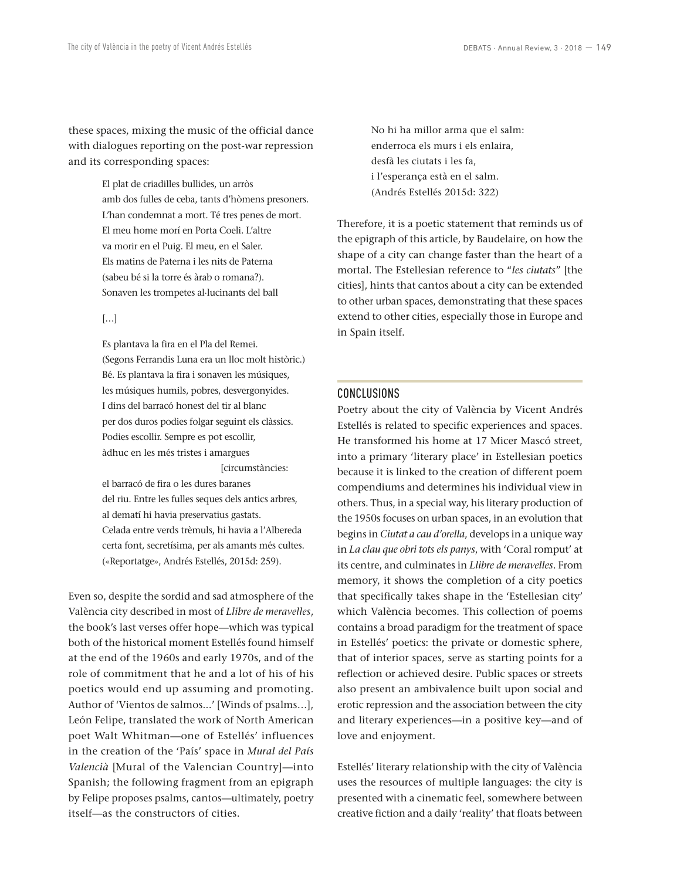these spaces, mixing the music of the official dance with dialogues reporting on the post-war repression and its corresponding spaces:

> El plat de criadilles bullides, un arròs amb dos fulles de ceba, tants d'hòmens presoners. L'han condemnat a mort. Té tres penes de mort. El meu home morí en Porta Coeli. L'altre va morir en el Puig. El meu, en el Saler. Els matins de Paterna i les nits de Paterna (sabeu bé si la torre és àrab o romana?). Sonaven les trompetes al·lucinants del ball

[…]

Es plantava la fira en el Pla del Remei. (Segons Ferrandis Luna era un lloc molt històric.) Bé. Es plantava la fira i sonaven les músiques, les músiques humils, pobres, desvergonyides. I dins del barracó honest del tir al blanc per dos duros podies folgar seguint els clàssics. Podies escollir. Sempre es pot escollir, àdhuc en les més tristes i amargues [circumstàncies:

el barracó de fira o les dures baranes del riu. Entre les fulles seques dels antics arbres, al dematí hi havia preservatius gastats. Celada entre verds trèmuls, hi havia a l'Albereda certa font, secretísima, per als amants més cultes. («Reportatge», Andrés Estellés, 2015d: 259).

Even so, despite the sordid and sad atmosphere of the València city described in most of *Llibre de meravelles*, the book's last verses offer hope—which was typical both of the historical moment Estellés found himself at the end of the 1960s and early 1970s, and of the role of commitment that he and a lot of his of his poetics would end up assuming and promoting. Author of 'Vientos de salmos...' [Winds of psalms…], León Felipe, translated the work of North American poet Walt Whitman—one of Estellés' influences in the creation of the 'País' space in *Mural del País Valencià* [Mural of the Valencian Country]—into Spanish; the following fragment from an epigraph by Felipe proposes psalms, cantos—ultimately, poetry itself—as the constructors of cities.

No hi ha millor arma que el salm: enderroca els murs i els enlaira, desfà les ciutats i les fa, i l'esperança està en el salm. (Andrés Estellés 2015d: 322)

Therefore, it is a poetic statement that reminds us of the epigraph of this article, by Baudelaire, on how the shape of a city can change faster than the heart of a mortal. The Estellesian reference to "*les ciutats*" [the cities], hints that cantos about a city can be extended to other urban spaces, demonstrating that these spaces extend to other cities, especially those in Europe and in Spain itself.

# CONCLUSIONS

Poetry about the city of València by Vicent Andrés Estellés is related to specific experiences and spaces. He transformed his home at 17 Micer Mascó street, into a primary 'literary place' in Estellesian poetics because it is linked to the creation of different poem compendiums and determines his individual view in others. Thus, in a special way, his literary production of the 1950s focuses on urban spaces, in an evolution that begins in *Ciutat a cau d'orella*, develops in a unique way in *La clau que obri tots els panys*, with 'Coral romput' at its centre, and culminates in *Llibre de meravelles*. From memory, it shows the completion of a city poetics that specifically takes shape in the 'Estellesian city' which València becomes. This collection of poems contains a broad paradigm for the treatment of space in Estellés' poetics: the private or domestic sphere, that of interior spaces, serve as starting points for a reflection or achieved desire. Public spaces or streets also present an ambivalence built upon social and erotic repression and the association between the city and literary experiences—in a positive key—and of love and enjoyment.

Estellés' literary relationship with the city of València uses the resources of multiple languages: the city is presented with a cinematic feel, somewhere between creative fiction and a daily 'reality' that floats between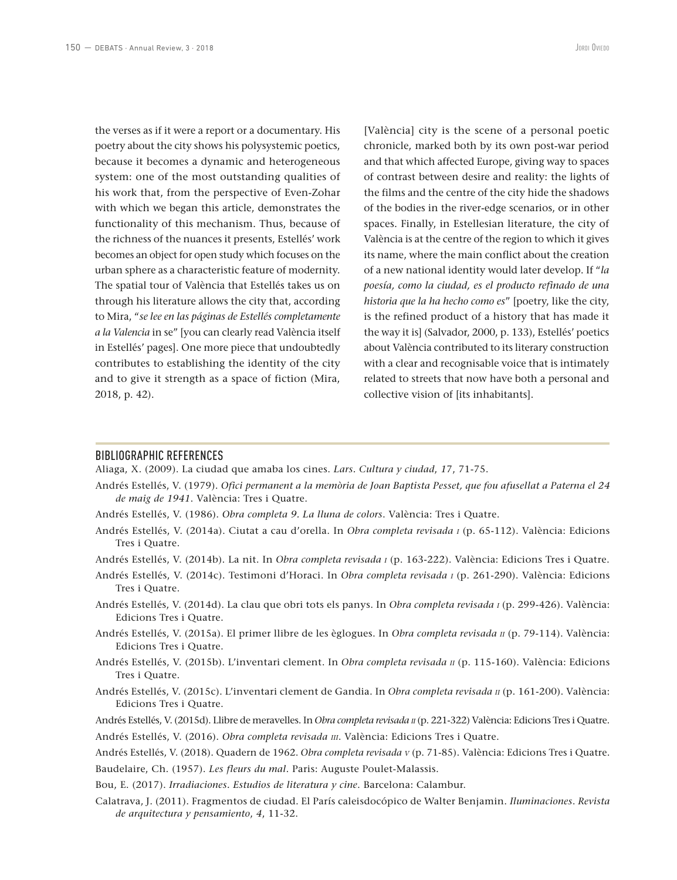the verses as if it were a report or a documentary. His poetry about the city shows his polysystemic poetics, because it becomes a dynamic and heterogeneous system: one of the most outstanding qualities of his work that, from the perspective of Even-Zohar with which we began this article, demonstrates the functionality of this mechanism. Thus, because of the richness of the nuances it presents, Estellés' work becomes an object for open study which focuses on the urban sphere as a characteristic feature of modernity. The spatial tour of València that Estellés takes us on through his literature allows the city that, according to Mira, "*se lee en las páginas de Estellés completamente a la Valencia* in se" [you can clearly read València itself in Estellés' pages]. One more piece that undoubtedly contributes to establishing the identity of the city and to give it strength as a space of fiction (Mira, 2018, p. 42).

[València] city is the scene of a personal poetic chronicle, marked both by its own post-war period and that which affected Europe, giving way to spaces of contrast between desire and reality: the lights of the films and the centre of the city hide the shadows of the bodies in the river-edge scenarios, or in other spaces. Finally, in Estellesian literature, the city of València is at the centre of the region to which it gives its name, where the main conflict about the creation of a new national identity would later develop. If "*la poesía, como la ciudad, es el producto refinado de una historia que la ha hecho como es*" [poetry, like the city, is the refined product of a history that has made it the way it is] (Salvador, 2000, p. 133), Estellés' poetics about València contributed to its literary construction with a clear and recognisable voice that is intimately related to streets that now have both a personal and collective vision of [its inhabitants].

### BIBLIOGRAPHIC REFERENCES

Aliaga, X. (2009). La ciudad que amaba los cines. *Lars. Cultura y ciudad*, *1*7, 71-75.

- Andrés Estellés, V. (1979). *Ofici permanent a la memòria de Joan Baptista Pesset, que fou afusellat a Paterna el 24 de maig de 1941*. València: Tres i Quatre.
- Andrés Estellés, V. (1986). *Obra completa 9. La lluna de colors*. València: Tres i Quatre.
- Andrés Estellés, V. (2014a). Ciutat a cau d'orella. In *Obra completa revisada i* (p. 65-112). València: Edicions Tres i Quatre.
- Andrés Estellés, V. (2014b). La nit. In *Obra completa revisada i* (p. 163-222). València: Edicions Tres i Quatre.
- Andrés Estellés, V. (2014c). Testimoni d'Horaci. In *Obra completa revisada i* (p. 261-290). València: Edicions Tres i Quatre.
- Andrés Estellés, V. (2014d). La clau que obri tots els panys. In *Obra completa revisada i* (p. 299-426). València: Edicions Tres i Quatre.
- Andrés Estellés, V. (2015a). El primer llibre de les èglogues. In *Obra completa revisada ii* (p. 79-114). València: Edicions Tres i Quatre.
- Andrés Estellés, V. (2015b). L'inventari clement. In Obra completa revisada *n* (p. 115-160). València: Edicions Tres i Quatre.
- Andrés Estellés, V. (2015c). L'inventari clement de Gandia. In *Obra completa revisada ii* (p. 161-200). València: Edicions Tres i Quatre.
- Andrés Estellés, V. (2015d). Llibre de meravelles. In *Obra completa revisada ii* (p. 221-322) València: Edicions Tres i Quatre.

Andrés Estellés, V. (2016). *Obra completa revisada iii*. València: Edicions Tres i Quatre.

Baudelaire, Ch. (1957). *Les fleurs du mal*. Paris: Auguste Poulet-Malassis.

- Bou, E. (2017). *Irradiaciones. Estudios de literatura y cine*. Barcelona: Calambur.
- Calatrava, J. (2011). Fragmentos de ciudad. El París caleisdocópico de Walter Benjamin. *Iluminaciones*. *Revista de arquitectura y pensamiento*, *4*, 11-32.

Andrés Estellés, V. (2018). Quadern de 1962. *Obra completa revisada <sup>v</sup>* (p. 71-85). València: Edicions Tres i Quatre.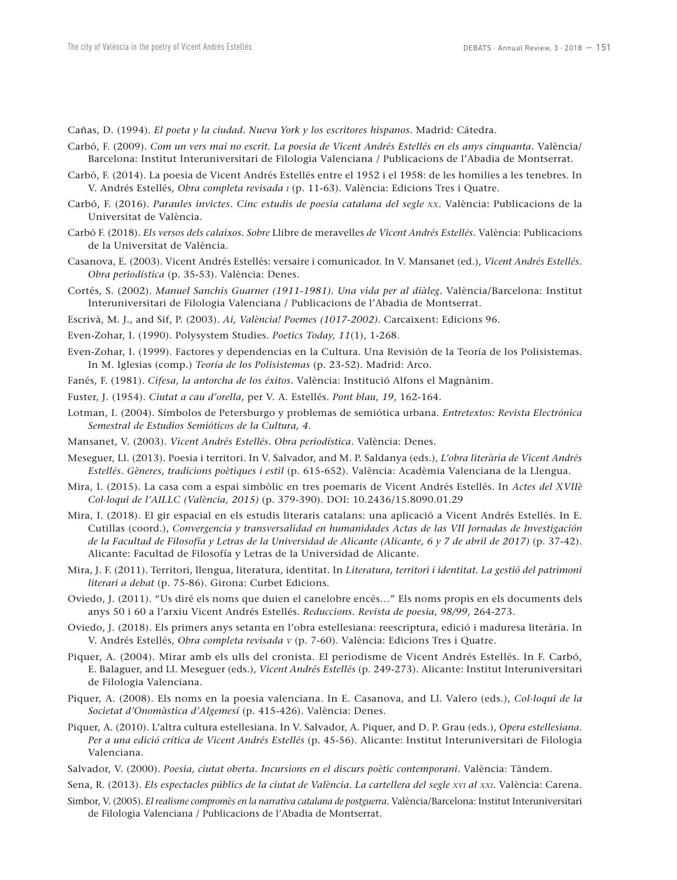Cañas, D. (1994). *El poeta y la ciudad. Nueva York y los escritores hispanos*. Madrid: Cátedra.

- Carbó, F. (2009). *Com un vers mai no escrit. La poesia de Vicent Andrés Estellés en els anys cinquanta*. València/ Barcelona: Institut Interuniversitari de Filologia Valenciana / Publicacions de l'Abadia de Montserrat.
- Carbó, F. (2014). La poesia de Vicent Andrés Estellés entre el 1952 i el 1958: de les homilies a les tenebres. In V. Andrés Estellés, *Obra completa revisada i* (p. 11-63). València: Edicions Tres i Quatre.
- Carbó, F. (2016). *Paraules invictes. Cinc estudis de poesia catalana del segle xx*. València: Publicacions de la Universitat de València.
- Carbó F. (2018). *Els versos dels calaixos. Sobre* Llibre de meravelles *de Vicent Andrés Estellés*. València: Publicacions de la Universitat de València.
- Casanova, E. (2003). Vicent Andrés Estellés: versaire i comunicador. In V. Mansanet (ed.), *Vicent Andrés Estellés. Obra periodística* (p. 35-53). València: Denes.
- Cortés, S. (2002). *Manuel Sanchis Guarner (1911-1981). Una vida per al diàleg*. València/Barcelona: Institut Interuniversitari de Filologia Valenciana / Publicacions de l'Abadia de Montserrat.
- Escrivà, M. J., and Sif, P. (2003). *Ai, València! Poemes (1017-2002)*. Carcaixent: Edicions 96.
- Even-Zohar, I. (1990). Polysystem Studies. *Poetics Today, 11*(1), 1-268.
- Even-Zohar, I. (1999). Factores y dependencias en la Cultura. Una Revisión de la Teoría de los Polisistemas. In M. Iglesias (comp.) *Teoría de los Polisistemas* (p. 23-52). Madrid: Arco.
- Fanés, F. (1981). *Cifesa, la antorcha de los éxitos*. València: Institució Alfons el Magnànim.
- Fuster, J. (1954). *Ciutat a cau d'orella*, per V. A. Estellés. *Pont blau*, *19*, 162-164.
- Lotman, I. (2004). Símbolos de Petersburgo y problemas de semiótica urbana. *Entretextos: Revista Electrónica Semestral de Estudios Semióticos de la Cultura, 4*.
- Mansanet, V. (2003). *Vicent Andrés Estellés. Obra periodística*. València: Denes.
- Meseguer, Ll. (2013). Poesia i territori. In V. Salvador, and M. P. Saldanya (eds.), *L'obra literària de Vicent Andrés Estellés. Gèneres, tradicions poètiques i estil* (p. 615-652). València: Acadèmia Valenciana de la Llengua.
- Mira, I. (2015). La casa com a espai simbòlic en tres poemaris de Vicent Andrés Estellés. In *Actes del XVIIè Col·loqui de l'AILLC (València, 2015)* (p. 379-390). DOI: 10.2436/15.8090.01.29
- Mira, I. (2018). El gir espacial en els estudis literaris catalans: una aplicació a Vicent Andrés Estellés. In E. Cutillas (coord.), *Convergencia y transversalidad en humanidades Actas de las VII Jornadas de Investigación de la Facultad de Filosofía y Letras de la Universidad de Alicante (Alicante, 6 y 7 de abril de 2017)* (p. 37-42). Alicante: Facultad de Filosofía y Letras de la Universidad de Alicante.
- Mira, J. F. (2011). Territori, llengua, literatura, identitat. In *Literatura, territori i identitat. La gestió del patrimoni literari a debat* (p. 75-86). Girona: Curbet Edicions.
- Oviedo, J. (2011). "Us diré els noms que duien el canelobre encés…" Els noms propis en els documents dels anys 50 i 60 a l'arxiu Vicent Andrés Estellés. *Reduccions. Revista de poesia*, *98/99*, 264-273.
- Oviedo, J. (2018). Els primers anys setanta en l'obra estellesiana: reescriptura, edició i maduresa literària. In V. Andrés Estellés, *Obra completa revisada v* (p. 7-60). València: Edicions Tres i Quatre.
- Piquer, A. (2004). Mirar amb els ulls del cronista. El periodisme de Vicent Andrés Estellés. In F. Carbó, E. Balaguer, and Ll. Meseguer (eds.), *Vicent Andrés Estellés* (p. 249-273). Alicante: Institut Interuniversitari de Filologia Valenciana.
- Piquer, A. (2008). Els noms en la poesia valenciana. In E. Casanova, and Ll. Valero (eds.), *Col·loqui de la Societat d'Onomàstica d'Algemesí* (p. 415-426). València: Denes.
- Piquer, A. (2010). L'altra cultura estellesiana. In V. Salvador, A. Piquer, and D. P. Grau (eds.), *Opera estellesiana. Per a una edició crítica de Vicent Andrés Estellés* (p. 45-56). Alicante: Institut Interuniversitari de Filologia Valenciana.
- Salvador, V. (2000). *Poesia, ciutat oberta. Incursions en el discurs poètic contemporani*. València: Tàndem.
- Sena, R. (2013). *Els espectacles públics de la ciutat de València. La cartellera del segle xvi al xxi*. València: Carena.
- Simbor, V. (2005). *El realisme compromès en la narrativa catalana de postguerra*. València/Barcelona: Institut Interuniversitari de Filologia Valenciana / Publicacions de l'Abadia de Montserrat.